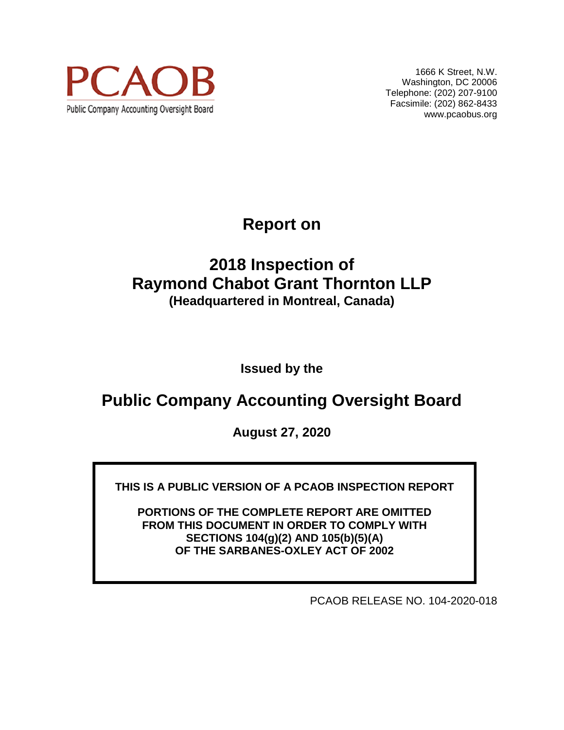

1666 K Street, N.W. Washington, DC 20006 Telephone: (202) 207-9100 Facsimile: (202) 862-8433 www.pcaobus.org

**Report on** 

## **2018 Inspection of Raymond Chabot Grant Thornton LLP (Headquartered in Montreal, Canada)**

**Issued by the** 

# **Public Company Accounting Oversight Board**

**August 27, 2020** 

**THIS IS A PUBLIC VERSION OF A PCAOB INSPECTION REPORT** 

**PORTIONS OF THE COMPLETE REPORT ARE OMITTED FROM THIS DOCUMENT IN ORDER TO COMPLY WITH SECTIONS 104(g)(2) AND 105(b)(5)(A) OF THE SARBANES-OXLEY ACT OF 2002** 

PCAOB RELEASE NO. 104-2020-018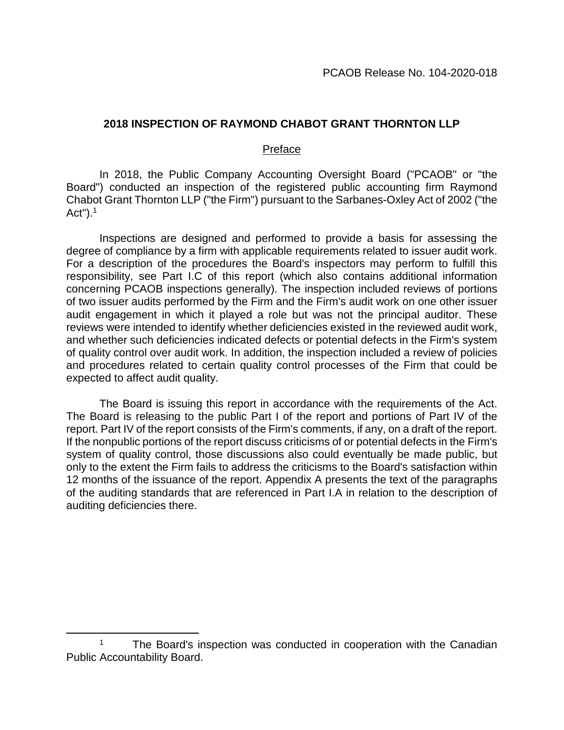#### **2018 INSPECTION OF RAYMOND CHABOT GRANT THORNTON LLP**

#### Preface

In 2018, the Public Company Accounting Oversight Board ("PCAOB" or "the Board") conducted an inspection of the registered public accounting firm Raymond Chabot Grant Thornton LLP ("the Firm") pursuant to the Sarbanes-Oxley Act of 2002 ("the Act"). $1$ 

Inspections are designed and performed to provide a basis for assessing the degree of compliance by a firm with applicable requirements related to issuer audit work. For a description of the procedures the Board's inspectors may perform to fulfill this responsibility, see Part I.C of this report (which also contains additional information concerning PCAOB inspections generally). The inspection included reviews of portions of two issuer audits performed by the Firm and the Firm's audit work on one other issuer audit engagement in which it played a role but was not the principal auditor. These reviews were intended to identify whether deficiencies existed in the reviewed audit work, and whether such deficiencies indicated defects or potential defects in the Firm's system of quality control over audit work. In addition, the inspection included a review of policies and procedures related to certain quality control processes of the Firm that could be expected to affect audit quality.

The Board is issuing this report in accordance with the requirements of the Act. The Board is releasing to the public Part I of the report and portions of Part IV of the report. Part IV of the report consists of the Firm's comments, if any, on a draft of the report. If the nonpublic portions of the report discuss criticisms of or potential defects in the Firm's system of quality control, those discussions also could eventually be made public, but only to the extent the Firm fails to address the criticisms to the Board's satisfaction within 12 months of the issuance of the report. Appendix A presents the text of the paragraphs of the auditing standards that are referenced in Part I.A in relation to the description of auditing deficiencies there.

<sup>1</sup> The Board's inspection was conducted in cooperation with the Canadian Public Accountability Board.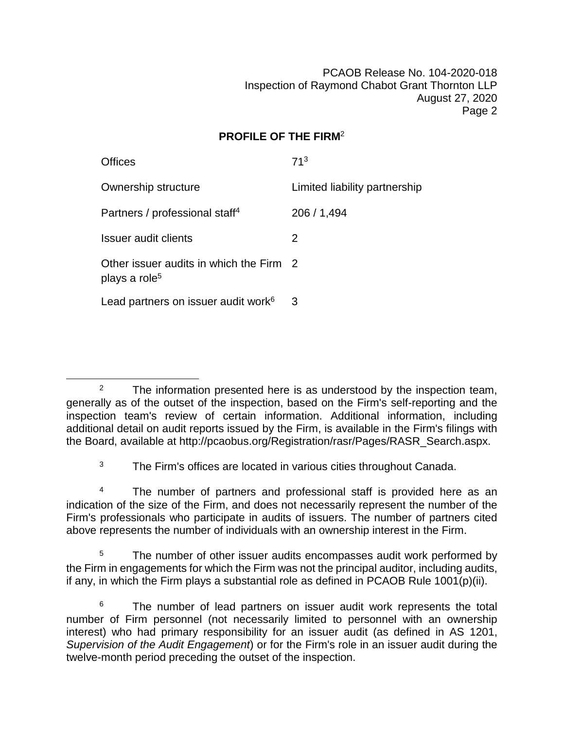### **PROFILE OF THE FIRM**<sup>2</sup>

| Offices                                                              | 71 <sup>3</sup>               |
|----------------------------------------------------------------------|-------------------------------|
| Ownership structure                                                  | Limited liability partnership |
| Partners / professional staff <sup>4</sup>                           | 206 / 1,494                   |
| Issuer audit clients                                                 | 2                             |
| Other issuer audits in which the Firm 2<br>plays a role <sup>5</sup> |                               |
| Lead partners on issuer audit work <sup>6</sup>                      | 3                             |

<sup>3</sup> The Firm's offices are located in various cities throughout Canada.

<sup>4</sup> The number of partners and professional staff is provided here as an indication of the size of the Firm, and does not necessarily represent the number of the Firm's professionals who participate in audits of issuers. The number of partners cited above represents the number of individuals with an ownership interest in the Firm.

<sup>5</sup> The number of other issuer audits encompasses audit work performed by the Firm in engagements for which the Firm was not the principal auditor, including audits, if any, in which the Firm plays a substantial role as defined in PCAOB Rule 1001(p)(ii).

<sup>6</sup> The number of lead partners on issuer audit work represents the total number of Firm personnel (not necessarily limited to personnel with an ownership interest) who had primary responsibility for an issuer audit (as defined in AS 1201, *Supervision of the Audit Engagement*) or for the Firm's role in an issuer audit during the twelve-month period preceding the outset of the inspection.

 $2^2$  The information presented here is as understood by the inspection team, generally as of the outset of the inspection, based on the Firm's self-reporting and the inspection team's review of certain information. Additional information, including additional detail on audit reports issued by the Firm, is available in the Firm's filings with the Board, available at http://pcaobus.org/Registration/rasr/Pages/RASR\_Search.aspx.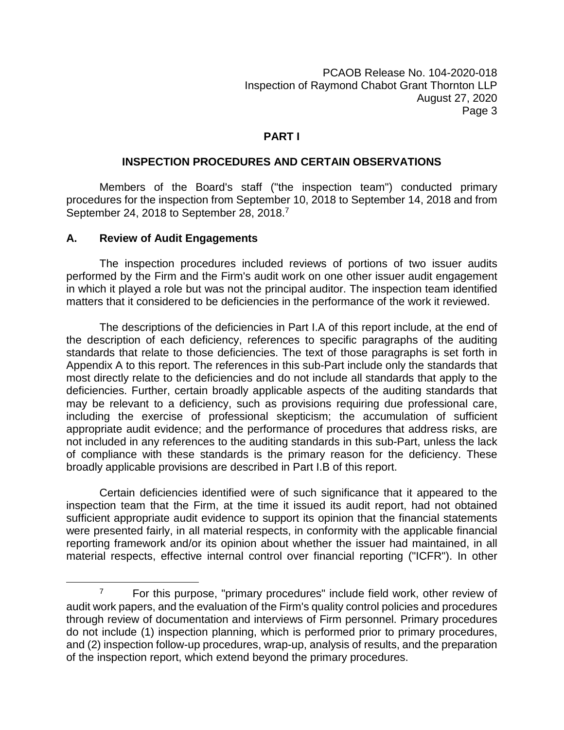#### **PART I**

#### **INSPECTION PROCEDURES AND CERTAIN OBSERVATIONS**

Members of the Board's staff ("the inspection team") conducted primary procedures for the inspection from September 10, 2018 to September 14, 2018 and from September 24, 2018 to September 28, 2018.<sup>7</sup>

#### **A. Review of Audit Engagements**

The inspection procedures included reviews of portions of two issuer audits performed by the Firm and the Firm's audit work on one other issuer audit engagement in which it played a role but was not the principal auditor. The inspection team identified matters that it considered to be deficiencies in the performance of the work it reviewed.

The descriptions of the deficiencies in Part I.A of this report include, at the end of the description of each deficiency, references to specific paragraphs of the auditing standards that relate to those deficiencies. The text of those paragraphs is set forth in Appendix A to this report. The references in this sub-Part include only the standards that most directly relate to the deficiencies and do not include all standards that apply to the deficiencies. Further, certain broadly applicable aspects of the auditing standards that may be relevant to a deficiency, such as provisions requiring due professional care, including the exercise of professional skepticism; the accumulation of sufficient appropriate audit evidence; and the performance of procedures that address risks, are not included in any references to the auditing standards in this sub-Part, unless the lack of compliance with these standards is the primary reason for the deficiency. These broadly applicable provisions are described in Part I.B of this report.

Certain deficiencies identified were of such significance that it appeared to the inspection team that the Firm, at the time it issued its audit report, had not obtained sufficient appropriate audit evidence to support its opinion that the financial statements were presented fairly, in all material respects, in conformity with the applicable financial reporting framework and/or its opinion about whether the issuer had maintained, in all material respects, effective internal control over financial reporting ("ICFR"). In other

 $7$  For this purpose, "primary procedures" include field work, other review of audit work papers, and the evaluation of the Firm's quality control policies and procedures through review of documentation and interviews of Firm personnel. Primary procedures do not include (1) inspection planning, which is performed prior to primary procedures, and (2) inspection follow-up procedures, wrap-up, analysis of results, and the preparation of the inspection report, which extend beyond the primary procedures.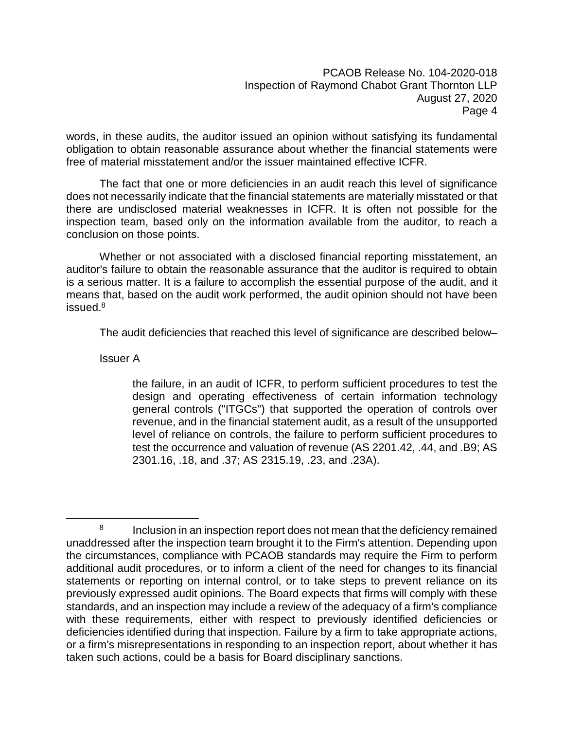words, in these audits, the auditor issued an opinion without satisfying its fundamental obligation to obtain reasonable assurance about whether the financial statements were free of material misstatement and/or the issuer maintained effective ICFR.

The fact that one or more deficiencies in an audit reach this level of significance does not necessarily indicate that the financial statements are materially misstated or that there are undisclosed material weaknesses in ICFR. It is often not possible for the inspection team, based only on the information available from the auditor, to reach a conclusion on those points.

Whether or not associated with a disclosed financial reporting misstatement, an auditor's failure to obtain the reasonable assurance that the auditor is required to obtain is a serious matter. It is a failure to accomplish the essential purpose of the audit, and it means that, based on the audit work performed, the audit opinion should not have been issued.<sup>8</sup>

The audit deficiencies that reached this level of significance are described below–

Issuer A

the failure, in an audit of ICFR, to perform sufficient procedures to test the design and operating effectiveness of certain information technology general controls ("ITGCs") that supported the operation of controls over revenue, and in the financial statement audit, as a result of the unsupported level of reliance on controls, the failure to perform sufficient procedures to test the occurrence and valuation of revenue (AS 2201.42, .44, and .B9; AS 2301.16, .18, and .37; AS 2315.19, .23, and .23A).

<sup>8</sup> Inclusion in an inspection report does not mean that the deficiency remained unaddressed after the inspection team brought it to the Firm's attention. Depending upon the circumstances, compliance with PCAOB standards may require the Firm to perform additional audit procedures, or to inform a client of the need for changes to its financial statements or reporting on internal control, or to take steps to prevent reliance on its previously expressed audit opinions. The Board expects that firms will comply with these standards, and an inspection may include a review of the adequacy of a firm's compliance with these requirements, either with respect to previously identified deficiencies or deficiencies identified during that inspection. Failure by a firm to take appropriate actions, or a firm's misrepresentations in responding to an inspection report, about whether it has taken such actions, could be a basis for Board disciplinary sanctions.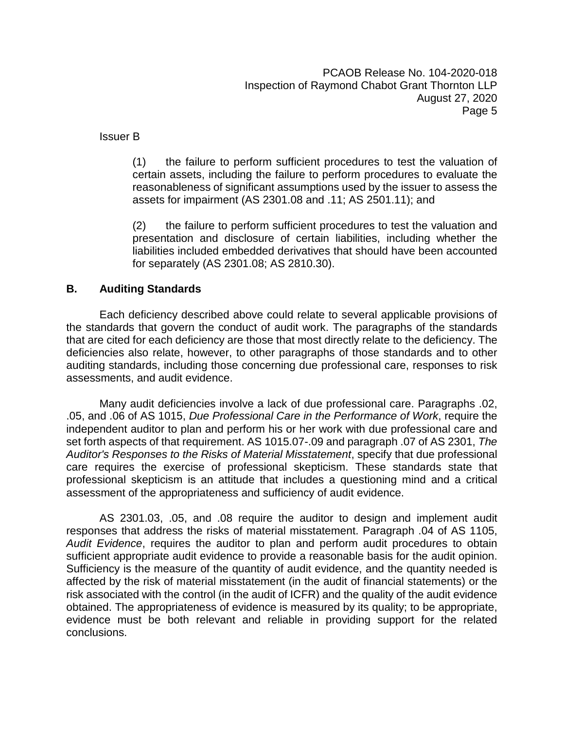Issuer B

(1) the failure to perform sufficient procedures to test the valuation of certain assets, including the failure to perform procedures to evaluate the reasonableness of significant assumptions used by the issuer to assess the assets for impairment (AS 2301.08 and .11; AS 2501.11); and

(2) the failure to perform sufficient procedures to test the valuation and presentation and disclosure of certain liabilities, including whether the liabilities included embedded derivatives that should have been accounted for separately (AS 2301.08; AS 2810.30).

#### **B. Auditing Standards**

Each deficiency described above could relate to several applicable provisions of the standards that govern the conduct of audit work. The paragraphs of the standards that are cited for each deficiency are those that most directly relate to the deficiency. The deficiencies also relate, however, to other paragraphs of those standards and to other auditing standards, including those concerning due professional care, responses to risk assessments, and audit evidence.

Many audit deficiencies involve a lack of due professional care. Paragraphs .02, .05, and .06 of AS 1015, *Due Professional Care in the Performance of Work*, require the independent auditor to plan and perform his or her work with due professional care and set forth aspects of that requirement. AS 1015.07-.09 and paragraph .07 of AS 2301, *The Auditor's Responses to the Risks of Material Misstatement*, specify that due professional care requires the exercise of professional skepticism. These standards state that professional skepticism is an attitude that includes a questioning mind and a critical assessment of the appropriateness and sufficiency of audit evidence.

AS 2301.03, .05, and .08 require the auditor to design and implement audit responses that address the risks of material misstatement. Paragraph .04 of AS 1105, *Audit Evidence*, requires the auditor to plan and perform audit procedures to obtain sufficient appropriate audit evidence to provide a reasonable basis for the audit opinion. Sufficiency is the measure of the quantity of audit evidence, and the quantity needed is affected by the risk of material misstatement (in the audit of financial statements) or the risk associated with the control (in the audit of ICFR) and the quality of the audit evidence obtained. The appropriateness of evidence is measured by its quality; to be appropriate, evidence must be both relevant and reliable in providing support for the related conclusions.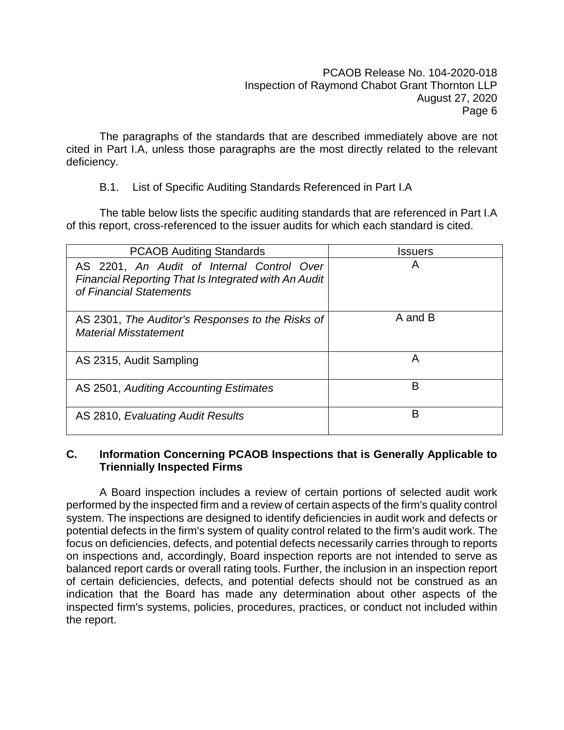The paragraphs of the standards that are described immediately above are not cited in Part I.A, unless those paragraphs are the most directly related to the relevant deficiency.

B.1. List of Specific Auditing Standards Referenced in Part I.A

The table below lists the specific auditing standards that are referenced in Part I.A of this report, cross-referenced to the issuer audits for which each standard is cited.

| <b>PCAOB Auditing Standards</b>                                                                                                      | Issuers |
|--------------------------------------------------------------------------------------------------------------------------------------|---------|
| AS 2201, An Audit of Internal Control Over<br><b>Financial Reporting That Is Integrated with An Audit</b><br>of Financial Statements | A       |
| AS 2301, The Auditor's Responses to the Risks of<br><b>Material Misstatement</b>                                                     | A and B |
| AS 2315, Audit Sampling                                                                                                              | A       |
| AS 2501, Auditing Accounting Estimates                                                                                               | В       |
| AS 2810, Evaluating Audit Results                                                                                                    | в       |

#### **C. Information Concerning PCAOB Inspections that is Generally Applicable to Triennially Inspected Firms**

A Board inspection includes a review of certain portions of selected audit work performed by the inspected firm and a review of certain aspects of the firm's quality control system. The inspections are designed to identify deficiencies in audit work and defects or potential defects in the firm's system of quality control related to the firm's audit work. The focus on deficiencies, defects, and potential defects necessarily carries through to reports on inspections and, accordingly, Board inspection reports are not intended to serve as balanced report cards or overall rating tools. Further, the inclusion in an inspection report of certain deficiencies, defects, and potential defects should not be construed as an indication that the Board has made any determination about other aspects of the inspected firm's systems, policies, procedures, practices, or conduct not included within the report.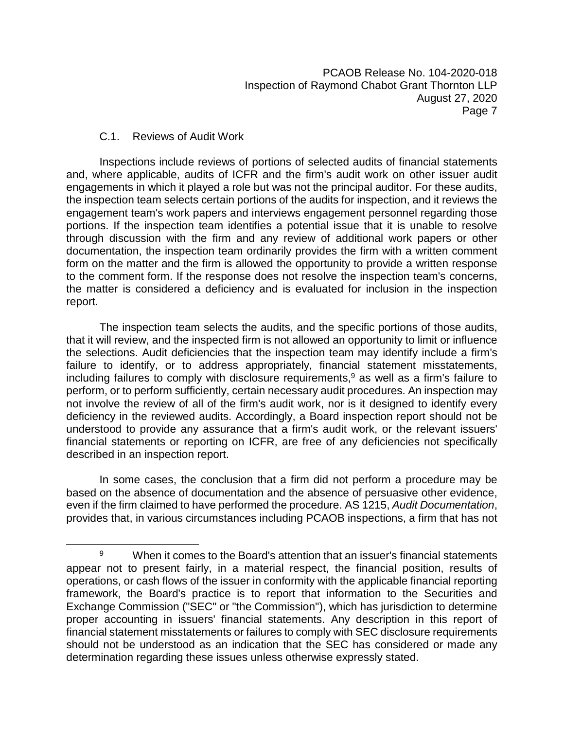#### C.1. Reviews of Audit Work

Inspections include reviews of portions of selected audits of financial statements and, where applicable, audits of ICFR and the firm's audit work on other issuer audit engagements in which it played a role but was not the principal auditor. For these audits, the inspection team selects certain portions of the audits for inspection, and it reviews the engagement team's work papers and interviews engagement personnel regarding those portions. If the inspection team identifies a potential issue that it is unable to resolve through discussion with the firm and any review of additional work papers or other documentation, the inspection team ordinarily provides the firm with a written comment form on the matter and the firm is allowed the opportunity to provide a written response to the comment form. If the response does not resolve the inspection team's concerns, the matter is considered a deficiency and is evaluated for inclusion in the inspection report.

The inspection team selects the audits, and the specific portions of those audits, that it will review, and the inspected firm is not allowed an opportunity to limit or influence the selections. Audit deficiencies that the inspection team may identify include a firm's failure to identify, or to address appropriately, financial statement misstatements, including failures to comply with disclosure requirements,<sup>9</sup> as well as a firm's failure to perform, or to perform sufficiently, certain necessary audit procedures. An inspection may not involve the review of all of the firm's audit work, nor is it designed to identify every deficiency in the reviewed audits. Accordingly, a Board inspection report should not be understood to provide any assurance that a firm's audit work, or the relevant issuers' financial statements or reporting on ICFR, are free of any deficiencies not specifically described in an inspection report.

In some cases, the conclusion that a firm did not perform a procedure may be based on the absence of documentation and the absence of persuasive other evidence, even if the firm claimed to have performed the procedure. AS 1215, *Audit Documentation*, provides that, in various circumstances including PCAOB inspections, a firm that has not

 $9$  When it comes to the Board's attention that an issuer's financial statements appear not to present fairly, in a material respect, the financial position, results of operations, or cash flows of the issuer in conformity with the applicable financial reporting framework, the Board's practice is to report that information to the Securities and Exchange Commission ("SEC" or "the Commission"), which has jurisdiction to determine proper accounting in issuers' financial statements. Any description in this report of financial statement misstatements or failures to comply with SEC disclosure requirements should not be understood as an indication that the SEC has considered or made any determination regarding these issues unless otherwise expressly stated.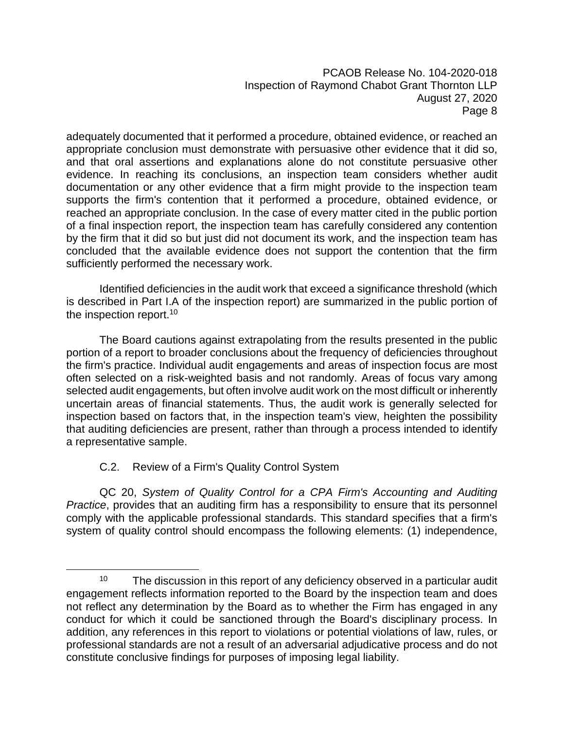adequately documented that it performed a procedure, obtained evidence, or reached an appropriate conclusion must demonstrate with persuasive other evidence that it did so, and that oral assertions and explanations alone do not constitute persuasive other evidence. In reaching its conclusions, an inspection team considers whether audit documentation or any other evidence that a firm might provide to the inspection team supports the firm's contention that it performed a procedure, obtained evidence, or reached an appropriate conclusion. In the case of every matter cited in the public portion of a final inspection report, the inspection team has carefully considered any contention by the firm that it did so but just did not document its work, and the inspection team has concluded that the available evidence does not support the contention that the firm sufficiently performed the necessary work.

Identified deficiencies in the audit work that exceed a significance threshold (which is described in Part I.A of the inspection report) are summarized in the public portion of the inspection report.<sup>10</sup>

The Board cautions against extrapolating from the results presented in the public portion of a report to broader conclusions about the frequency of deficiencies throughout the firm's practice. Individual audit engagements and areas of inspection focus are most often selected on a risk-weighted basis and not randomly. Areas of focus vary among selected audit engagements, but often involve audit work on the most difficult or inherently uncertain areas of financial statements. Thus, the audit work is generally selected for inspection based on factors that, in the inspection team's view, heighten the possibility that auditing deficiencies are present, rather than through a process intended to identify a representative sample.

#### C.2. Review of a Firm's Quality Control System

QC 20, *System of Quality Control for a CPA Firm's Accounting and Auditing Practice*, provides that an auditing firm has a responsibility to ensure that its personnel comply with the applicable professional standards. This standard specifies that a firm's system of quality control should encompass the following elements: (1) independence,

 $10$  The discussion in this report of any deficiency observed in a particular audit engagement reflects information reported to the Board by the inspection team and does not reflect any determination by the Board as to whether the Firm has engaged in any conduct for which it could be sanctioned through the Board's disciplinary process. In addition, any references in this report to violations or potential violations of law, rules, or professional standards are not a result of an adversarial adjudicative process and do not constitute conclusive findings for purposes of imposing legal liability.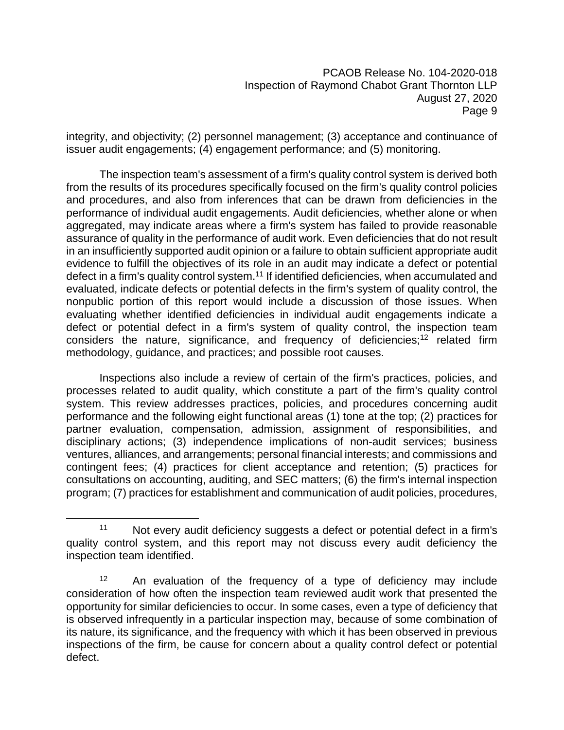integrity, and objectivity; (2) personnel management; (3) acceptance and continuance of issuer audit engagements; (4) engagement performance; and (5) monitoring.

The inspection team's assessment of a firm's quality control system is derived both from the results of its procedures specifically focused on the firm's quality control policies and procedures, and also from inferences that can be drawn from deficiencies in the performance of individual audit engagements. Audit deficiencies, whether alone or when aggregated, may indicate areas where a firm's system has failed to provide reasonable assurance of quality in the performance of audit work. Even deficiencies that do not result in an insufficiently supported audit opinion or a failure to obtain sufficient appropriate audit evidence to fulfill the objectives of its role in an audit may indicate a defect or potential defect in a firm's quality control system.<sup>11</sup> If identified deficiencies, when accumulated and evaluated, indicate defects or potential defects in the firm's system of quality control, the nonpublic portion of this report would include a discussion of those issues. When evaluating whether identified deficiencies in individual audit engagements indicate a defect or potential defect in a firm's system of quality control, the inspection team considers the nature, significance, and frequency of deficiencies;<sup>12</sup> related firm methodology, guidance, and practices; and possible root causes.

Inspections also include a review of certain of the firm's practices, policies, and processes related to audit quality, which constitute a part of the firm's quality control system. This review addresses practices, policies, and procedures concerning audit performance and the following eight functional areas (1) tone at the top; (2) practices for partner evaluation, compensation, admission, assignment of responsibilities, and disciplinary actions; (3) independence implications of non-audit services; business ventures, alliances, and arrangements; personal financial interests; and commissions and contingent fees; (4) practices for client acceptance and retention; (5) practices for consultations on accounting, auditing, and SEC matters; (6) the firm's internal inspection program; (7) practices for establishment and communication of audit policies, procedures,

<sup>&</sup>lt;sup>11</sup> Not every audit deficiency suggests a defect or potential defect in a firm's quality control system, and this report may not discuss every audit deficiency the inspection team identified.

<sup>&</sup>lt;sup>12</sup> An evaluation of the frequency of a type of deficiency may include consideration of how often the inspection team reviewed audit work that presented the opportunity for similar deficiencies to occur. In some cases, even a type of deficiency that is observed infrequently in a particular inspection may, because of some combination of its nature, its significance, and the frequency with which it has been observed in previous inspections of the firm, be cause for concern about a quality control defect or potential defect.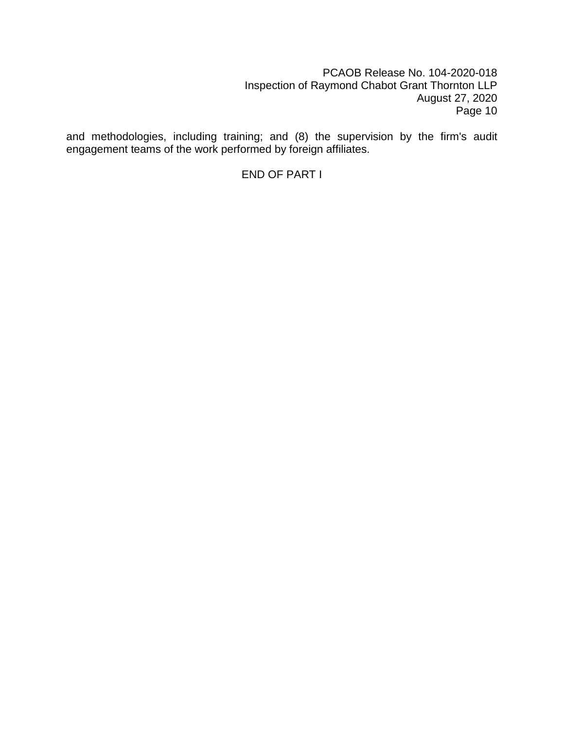and methodologies, including training; and (8) the supervision by the firm's audit engagement teams of the work performed by foreign affiliates.

END OF PART I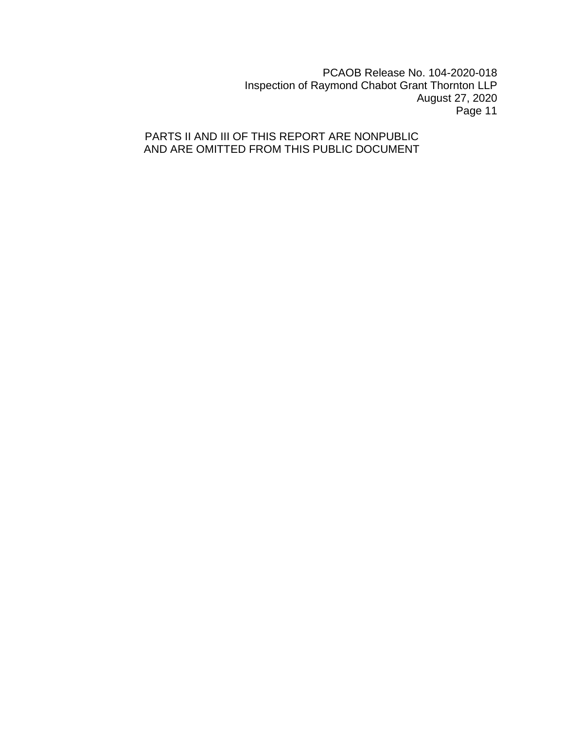### PARTS II AND III OF THIS REPORT ARE NONPUBLIC AND ARE OMITTED FROM THIS PUBLIC DOCUMENT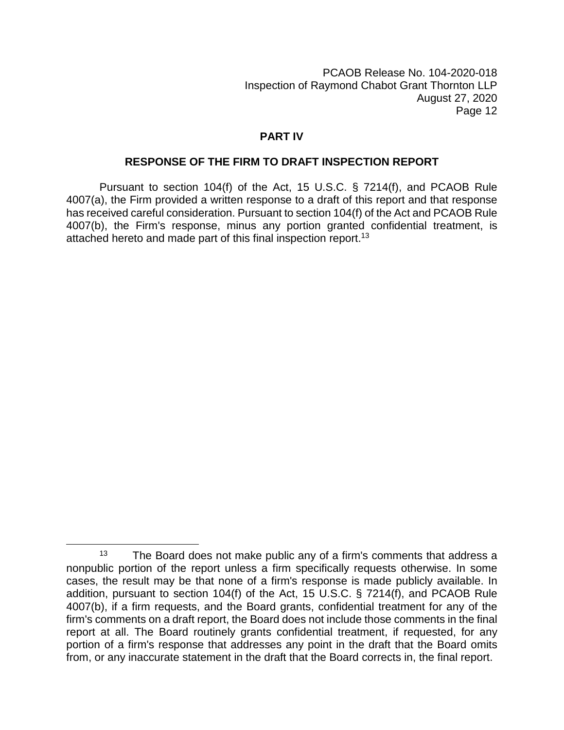#### **PART IV**

#### **RESPONSE OF THE FIRM TO DRAFT INSPECTION REPORT**

Pursuant to section 104(f) of the Act, 15 U.S.C. § 7214(f), and PCAOB Rule 4007(a), the Firm provided a written response to a draft of this report and that response has received careful consideration. Pursuant to section 104(f) of the Act and PCAOB Rule 4007(b), the Firm's response, minus any portion granted confidential treatment, is attached hereto and made part of this final inspection report.<sup>13</sup>

 $13$  The Board does not make public any of a firm's comments that address a nonpublic portion of the report unless a firm specifically requests otherwise. In some cases, the result may be that none of a firm's response is made publicly available. In addition, pursuant to section 104(f) of the Act, 15 U.S.C. § 7214(f), and PCAOB Rule 4007(b), if a firm requests, and the Board grants, confidential treatment for any of the firm's comments on a draft report, the Board does not include those comments in the final report at all. The Board routinely grants confidential treatment, if requested, for any portion of a firm's response that addresses any point in the draft that the Board omits from, or any inaccurate statement in the draft that the Board corrects in, the final report.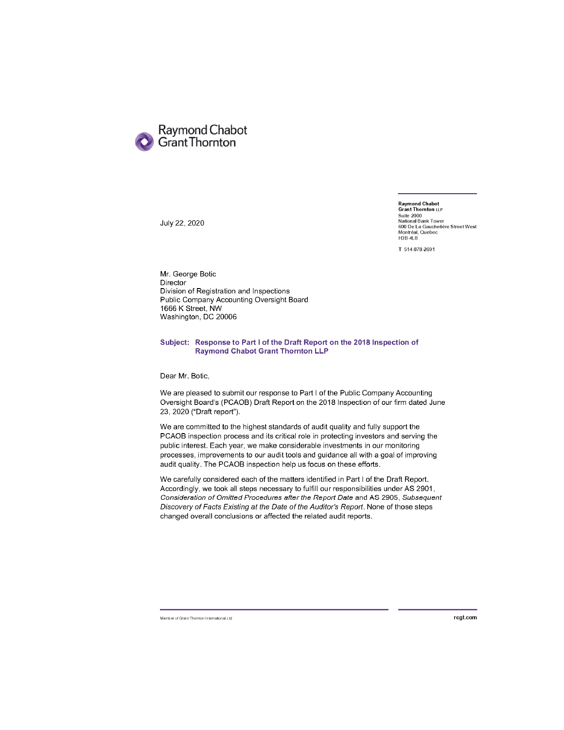

July 22, 2020

Raymond Chabot<br>Grant Thornton ⊔P Suite 2000<br>National Bank Tower<br>600 De La Gauchetière Street West<br>Montréal, Quebec **H3B 4L8** 

T 514-878-2691

Mr. George Botic Director Division of Registration and Inspections Public Company Accounting Oversight Board 1666 K Street, NW Washington, DC 20006

#### Subject: Response to Part I of the Draft Report on the 2018 Inspection of **Raymond Chabot Grant Thornton LLP**

Dear Mr. Botic,

We are pleased to submit our response to Part I of the Public Company Accounting Oversight Board's (PCAOB) Draft Report on the 2018 Inspection of our firm dated June 23, 2020 ("Draft report").

We are committed to the highest standards of audit quality and fully support the PCAOB inspection process and its critical role in protecting investors and serving the public interest. Each year, we make considerable investments in our monitoring processes, improvements to our audit tools and guidance all with a goal of improving audit quality. The PCAOB inspection help us focus on these efforts.

We carefully considered each of the matters identified in Part I of the Draft Report. Accordingly, we took all steps necessary to fulfill our responsibilities under AS 2901, Consideration of Omitted Procedures after the Report Date and AS 2905, Subsequent Discovery of Facts Existing at the Date of the Auditor's Report. None of those steps changed overall conclusions or affected the related audit reports.

Member of Grant Thornton International Ltd

rcgt.com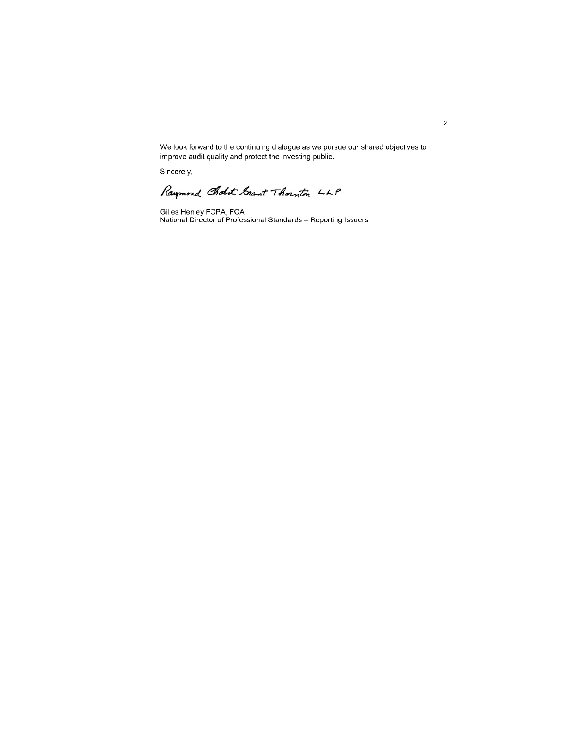We look forward to the continuing dialogue as we pursue our shared objectives to improve audit quality and protect the investing public.

Sincerely,

Raymond Cholot Grant Thornton LLP

Gilles Henley FCPA, FCA<br>National Director of Professional Standards – Reporting Issuers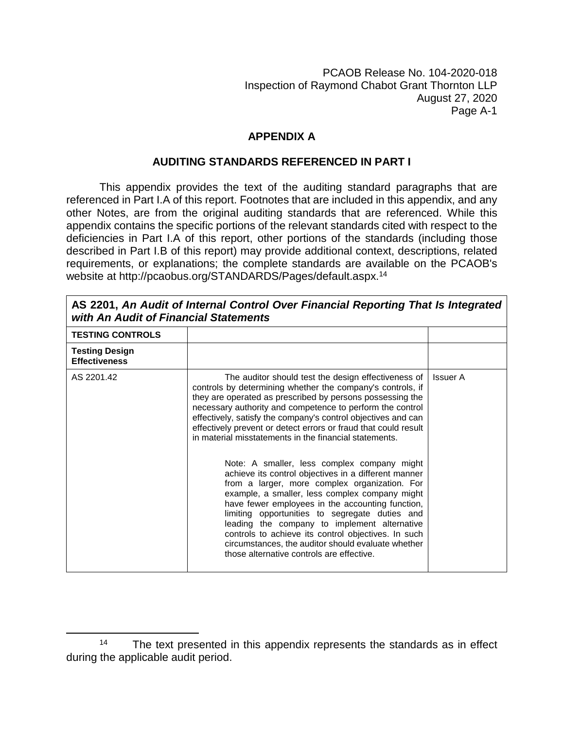### **APPENDIX A**

#### **AUDITING STANDARDS REFERENCED IN PART I**

This appendix provides the text of the auditing standard paragraphs that are referenced in Part I.A of this report. Footnotes that are included in this appendix, and any other Notes, are from the original auditing standards that are referenced. While this appendix contains the specific portions of the relevant standards cited with respect to the deficiencies in Part I.A of this report, other portions of the standards (including those described in Part I.B of this report) may provide additional context, descriptions, related requirements, or explanations; the complete standards are available on the PCAOB's website at http://pcaobus.org/STANDARDS/Pages/default.aspx.<sup>14</sup>

| with An Audit of Financial Statements         |                                                                                                                                                                                                                                                                                                                                                                                                                                                                                                                                                                                                                                                                                                                                                                                                                                                                                                                                                                     |                 |
|-----------------------------------------------|---------------------------------------------------------------------------------------------------------------------------------------------------------------------------------------------------------------------------------------------------------------------------------------------------------------------------------------------------------------------------------------------------------------------------------------------------------------------------------------------------------------------------------------------------------------------------------------------------------------------------------------------------------------------------------------------------------------------------------------------------------------------------------------------------------------------------------------------------------------------------------------------------------------------------------------------------------------------|-----------------|
| <b>TESTING CONTROLS</b>                       |                                                                                                                                                                                                                                                                                                                                                                                                                                                                                                                                                                                                                                                                                                                                                                                                                                                                                                                                                                     |                 |
| <b>Testing Design</b><br><b>Effectiveness</b> |                                                                                                                                                                                                                                                                                                                                                                                                                                                                                                                                                                                                                                                                                                                                                                                                                                                                                                                                                                     |                 |
| AS 2201.42                                    | The auditor should test the design effectiveness of<br>controls by determining whether the company's controls, if<br>they are operated as prescribed by persons possessing the<br>necessary authority and competence to perform the control<br>effectively, satisfy the company's control objectives and can<br>effectively prevent or detect errors or fraud that could result<br>in material misstatements in the financial statements.<br>Note: A smaller, less complex company might<br>achieve its control objectives in a different manner<br>from a larger, more complex organization. For<br>example, a smaller, less complex company might<br>have fewer employees in the accounting function,<br>limiting opportunities to segregate duties and<br>leading the company to implement alternative<br>controls to achieve its control objectives. In such<br>circumstances, the auditor should evaluate whether<br>those alternative controls are effective. | <b>Issuer A</b> |
|                                               |                                                                                                                                                                                                                                                                                                                                                                                                                                                                                                                                                                                                                                                                                                                                                                                                                                                                                                                                                                     |                 |

**AS 2201,** *An Audit of Internal Control Over Financial Reporting That Is Integrated with An Audit of Financial Statements*

<sup>&</sup>lt;sup>14</sup> The text presented in this appendix represents the standards as in effect during the applicable audit period.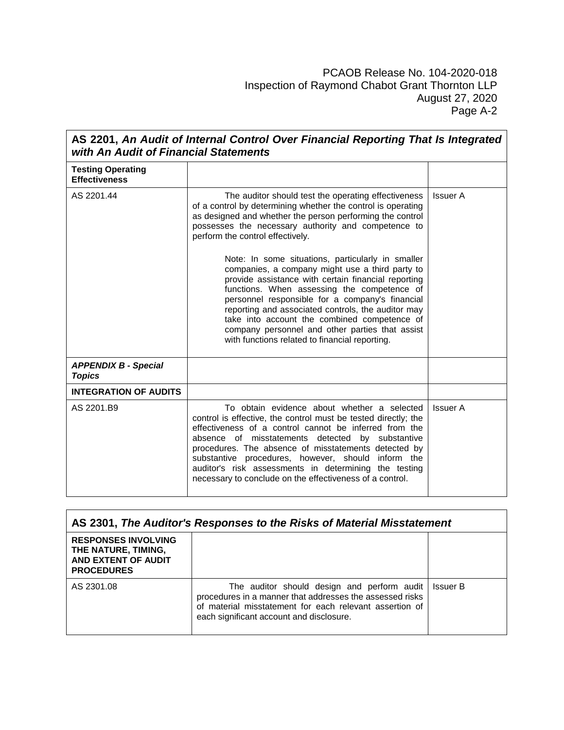| AS 2201, An Audit of Internal Control Over Financial Reporting That Is Integrated<br>with An Audit of Financial Statements |                                                                                                                                                                                                                                                                                                                                                                                                                                                                                                                                                                                                                                                                                                                                                         |                 |
|----------------------------------------------------------------------------------------------------------------------------|---------------------------------------------------------------------------------------------------------------------------------------------------------------------------------------------------------------------------------------------------------------------------------------------------------------------------------------------------------------------------------------------------------------------------------------------------------------------------------------------------------------------------------------------------------------------------------------------------------------------------------------------------------------------------------------------------------------------------------------------------------|-----------------|
| <b>Testing Operating</b><br><b>Effectiveness</b>                                                                           |                                                                                                                                                                                                                                                                                                                                                                                                                                                                                                                                                                                                                                                                                                                                                         |                 |
| AS 2201.44                                                                                                                 | The auditor should test the operating effectiveness<br>of a control by determining whether the control is operating<br>as designed and whether the person performing the control<br>possesses the necessary authority and competence to<br>perform the control effectively.<br>Note: In some situations, particularly in smaller<br>companies, a company might use a third party to<br>provide assistance with certain financial reporting<br>functions. When assessing the competence of<br>personnel responsible for a company's financial<br>reporting and associated controls, the auditor may<br>take into account the combined competence of<br>company personnel and other parties that assist<br>with functions related to financial reporting. | <b>Issuer A</b> |
| <b>APPENDIX B - Special</b><br><b>Topics</b>                                                                               |                                                                                                                                                                                                                                                                                                                                                                                                                                                                                                                                                                                                                                                                                                                                                         |                 |
| <b>INTEGRATION OF AUDITS</b>                                                                                               |                                                                                                                                                                                                                                                                                                                                                                                                                                                                                                                                                                                                                                                                                                                                                         |                 |
| AS 2201.B9                                                                                                                 | To obtain evidence about whether a selected<br>control is effective, the control must be tested directly; the<br>effectiveness of a control cannot be inferred from the<br>absence of misstatements detected by substantive<br>procedures. The absence of misstatements detected by<br>substantive procedures, however, should inform the<br>auditor's risk assessments in determining the testing<br>necessary to conclude on the effectiveness of a control.                                                                                                                                                                                                                                                                                          | <b>Issuer A</b> |

| AS 2301, The Auditor's Responses to the Risks of Material Misstatement                        |                                                                                                                                                                                                                           |  |
|-----------------------------------------------------------------------------------------------|---------------------------------------------------------------------------------------------------------------------------------------------------------------------------------------------------------------------------|--|
| <b>RESPONSES INVOLVING</b><br>THE NATURE, TIMING,<br>AND EXTENT OF AUDIT<br><b>PROCEDURES</b> |                                                                                                                                                                                                                           |  |
| AS 2301.08                                                                                    | The auditor should design and perform audit   Issuer B<br>procedures in a manner that addresses the assessed risks<br>of material misstatement for each relevant assertion of<br>each significant account and disclosure. |  |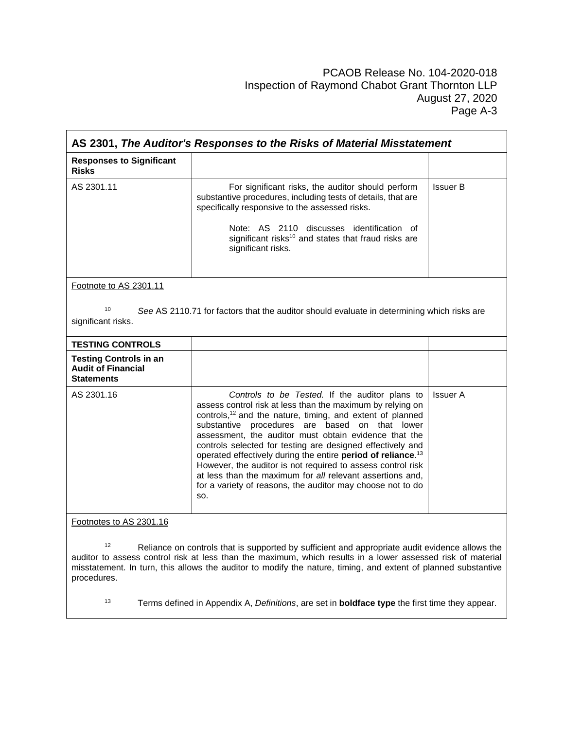| AS 2301, The Auditor's Responses to the Risks of Material Misstatement          |                                                                                                                                                                                                                                                                                                                                                                                                                                                                                                                                                                                                                                             |                 |
|---------------------------------------------------------------------------------|---------------------------------------------------------------------------------------------------------------------------------------------------------------------------------------------------------------------------------------------------------------------------------------------------------------------------------------------------------------------------------------------------------------------------------------------------------------------------------------------------------------------------------------------------------------------------------------------------------------------------------------------|-----------------|
| <b>Responses to Significant</b><br><b>Risks</b>                                 |                                                                                                                                                                                                                                                                                                                                                                                                                                                                                                                                                                                                                                             |                 |
| AS 2301.11                                                                      | For significant risks, the auditor should perform<br>substantive procedures, including tests of details, that are<br>specifically responsive to the assessed risks.<br>Note: AS 2110 discusses identification of<br>significant risks <sup>10</sup> and states that fraud risks are<br>significant risks.                                                                                                                                                                                                                                                                                                                                   | <b>Issuer B</b> |
| Footnote to AS 2301.11<br>10<br>significant risks.                              | See AS 2110.71 for factors that the auditor should evaluate in determining which risks are                                                                                                                                                                                                                                                                                                                                                                                                                                                                                                                                                  |                 |
| <b>TESTING CONTROLS</b>                                                         |                                                                                                                                                                                                                                                                                                                                                                                                                                                                                                                                                                                                                                             |                 |
| <b>Testing Controls in an</b><br><b>Audit of Financial</b><br><b>Statements</b> |                                                                                                                                                                                                                                                                                                                                                                                                                                                                                                                                                                                                                                             |                 |
| AS 2301.16                                                                      | Controls to be Tested. If the auditor plans to<br>assess control risk at less than the maximum by relying on<br>controls, <sup>12</sup> and the nature, timing, and extent of planned<br>substantive procedures are based on that lower<br>assessment, the auditor must obtain evidence that the<br>controls selected for testing are designed effectively and<br>operated effectively during the entire period of reliance. <sup>13</sup><br>However, the auditor is not required to assess control risk<br>at less than the maximum for all relevant assertions and,<br>for a variety of reasons, the auditor may choose not to do<br>SO. | <b>Issuer A</b> |
| Footnotes to AS 2301.16                                                         |                                                                                                                                                                                                                                                                                                                                                                                                                                                                                                                                                                                                                                             |                 |

<sup>12</sup> Reliance on controls that is supported by sufficient and appropriate audit evidence allows the auditor to assess control risk at less than the maximum, which results in a lower assessed risk of material misstatement. In turn, this allows the auditor to modify the nature, timing, and extent of planned substantive misstatement. In turn, this allows the auditor to modify the nature, timing, and extent of planned substantive procedures.

<sup>13</sup> Terms defined in Appendix A, *Definitions*, are set in **boldface type** the first time they appear.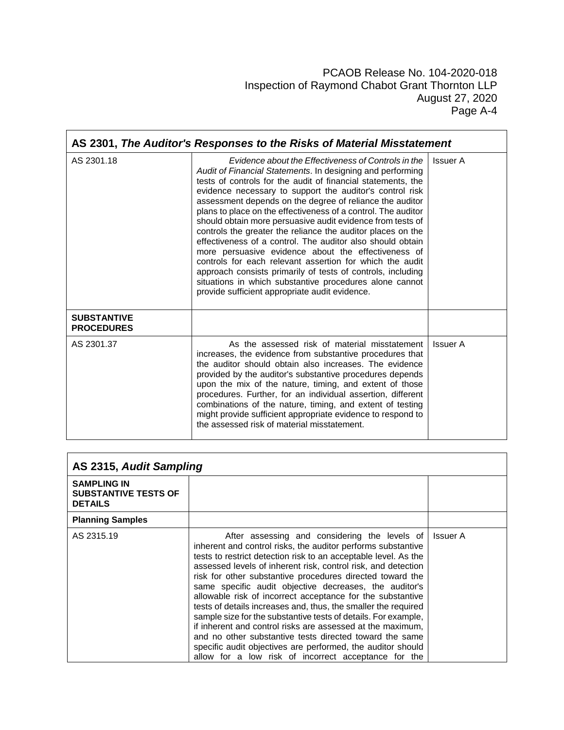| AS 2301, The Auditor's Responses to the Risks of Material Misstatement |                                                                                                                                                                                                                                                                                                                                                                                                                                                                                                                                                                                                                                                                                                                                                                                                                                                                      |                 |
|------------------------------------------------------------------------|----------------------------------------------------------------------------------------------------------------------------------------------------------------------------------------------------------------------------------------------------------------------------------------------------------------------------------------------------------------------------------------------------------------------------------------------------------------------------------------------------------------------------------------------------------------------------------------------------------------------------------------------------------------------------------------------------------------------------------------------------------------------------------------------------------------------------------------------------------------------|-----------------|
| AS 2301.18                                                             | Evidence about the Effectiveness of Controls in the<br>Audit of Financial Statements. In designing and performing<br>tests of controls for the audit of financial statements, the<br>evidence necessary to support the auditor's control risk<br>assessment depends on the degree of reliance the auditor<br>plans to place on the effectiveness of a control. The auditor<br>should obtain more persuasive audit evidence from tests of<br>controls the greater the reliance the auditor places on the<br>effectiveness of a control. The auditor also should obtain<br>more persuasive evidence about the effectiveness of<br>controls for each relevant assertion for which the audit<br>approach consists primarily of tests of controls, including<br>situations in which substantive procedures alone cannot<br>provide sufficient appropriate audit evidence. | <b>Issuer A</b> |
| <b>SUBSTANTIVE</b><br><b>PROCEDURES</b>                                |                                                                                                                                                                                                                                                                                                                                                                                                                                                                                                                                                                                                                                                                                                                                                                                                                                                                      |                 |
| AS 2301.37                                                             | As the assessed risk of material misstatement<br>increases, the evidence from substantive procedures that<br>the auditor should obtain also increases. The evidence<br>provided by the auditor's substantive procedures depends<br>upon the mix of the nature, timing, and extent of those<br>procedures. Further, for an individual assertion, different<br>combinations of the nature, timing, and extent of testing<br>might provide sufficient appropriate evidence to respond to<br>the assessed risk of material misstatement.                                                                                                                                                                                                                                                                                                                                 | Issuer A        |

| AS 2315, Audit Sampling                                             |                                                                                                                                                                                                                                                                                                                                                                                                                                                                                                                                                                                                                                                                                                                                                                                                                            |                 |
|---------------------------------------------------------------------|----------------------------------------------------------------------------------------------------------------------------------------------------------------------------------------------------------------------------------------------------------------------------------------------------------------------------------------------------------------------------------------------------------------------------------------------------------------------------------------------------------------------------------------------------------------------------------------------------------------------------------------------------------------------------------------------------------------------------------------------------------------------------------------------------------------------------|-----------------|
| <b>SAMPLING IN</b><br><b>SUBSTANTIVE TESTS OF</b><br><b>DETAILS</b> |                                                                                                                                                                                                                                                                                                                                                                                                                                                                                                                                                                                                                                                                                                                                                                                                                            |                 |
| <b>Planning Samples</b>                                             |                                                                                                                                                                                                                                                                                                                                                                                                                                                                                                                                                                                                                                                                                                                                                                                                                            |                 |
| AS 2315.19                                                          | After assessing and considering the levels of<br>inherent and control risks, the auditor performs substantive<br>tests to restrict detection risk to an acceptable level. As the<br>assessed levels of inherent risk, control risk, and detection<br>risk for other substantive procedures directed toward the<br>same specific audit objective decreases, the auditor's<br>allowable risk of incorrect acceptance for the substantive<br>tests of details increases and, thus, the smaller the required<br>sample size for the substantive tests of details. For example,<br>if inherent and control risks are assessed at the maximum,<br>and no other substantive tests directed toward the same<br>specific audit objectives are performed, the auditor should<br>allow for a low risk of incorrect acceptance for the | <b>Issuer A</b> |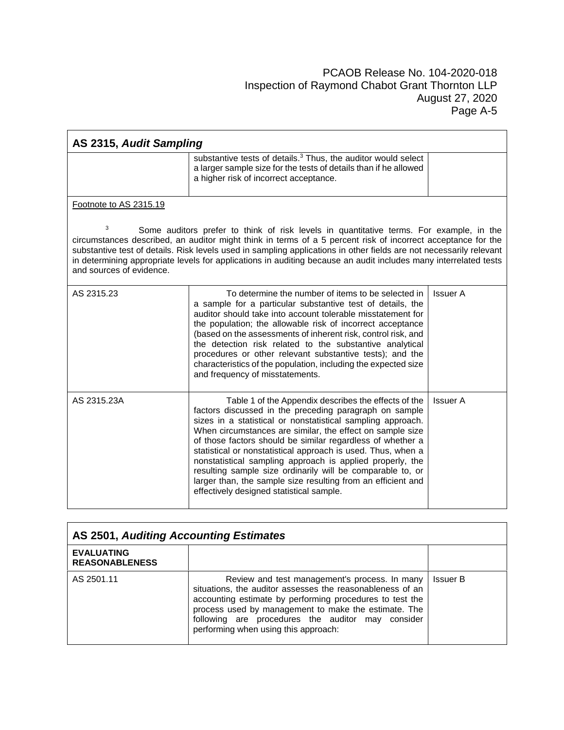| AS 2315, Audit Sampling       |                                                                                                                                                                                                                                                                                                                                                                                                                                                                                                                                                                                                                 |                 |
|-------------------------------|-----------------------------------------------------------------------------------------------------------------------------------------------------------------------------------------------------------------------------------------------------------------------------------------------------------------------------------------------------------------------------------------------------------------------------------------------------------------------------------------------------------------------------------------------------------------------------------------------------------------|-----------------|
|                               | substantive tests of details. <sup>3</sup> Thus, the auditor would select<br>a larger sample size for the tests of details than if he allowed<br>a higher risk of incorrect acceptance.                                                                                                                                                                                                                                                                                                                                                                                                                         |                 |
| Footnote to AS 2315.19        |                                                                                                                                                                                                                                                                                                                                                                                                                                                                                                                                                                                                                 |                 |
| 3<br>and sources of evidence. | Some auditors prefer to think of risk levels in quantitative terms. For example, in the<br>circumstances described, an auditor might think in terms of a 5 percent risk of incorrect acceptance for the<br>substantive test of details. Risk levels used in sampling applications in other fields are not necessarily relevant<br>in determining appropriate levels for applications in auditing because an audit includes many interrelated tests                                                                                                                                                              |                 |
| AS 2315.23                    | To determine the number of items to be selected in<br>a sample for a particular substantive test of details, the<br>auditor should take into account tolerable misstatement for<br>the population; the allowable risk of incorrect acceptance<br>(based on the assessments of inherent risk, control risk, and<br>the detection risk related to the substantive analytical<br>procedures or other relevant substantive tests); and the<br>characteristics of the population, including the expected size<br>and frequency of misstatements.                                                                     | <b>Issuer A</b> |
| AS 2315.23A                   | Table 1 of the Appendix describes the effects of the<br>factors discussed in the preceding paragraph on sample<br>sizes in a statistical or nonstatistical sampling approach.<br>When circumstances are similar, the effect on sample size<br>of those factors should be similar regardless of whether a<br>statistical or nonstatistical approach is used. Thus, when a<br>nonstatistical sampling approach is applied properly, the<br>resulting sample size ordinarily will be comparable to, or<br>larger than, the sample size resulting from an efficient and<br>effectively designed statistical sample. | <b>Issuer A</b> |

| AS 2501, Auditing Accounting Estimates     |                                                                                                                                                                                                                                                                                                                             |                 |
|--------------------------------------------|-----------------------------------------------------------------------------------------------------------------------------------------------------------------------------------------------------------------------------------------------------------------------------------------------------------------------------|-----------------|
| <b>EVALUATING</b><br><b>REASONABLENESS</b> |                                                                                                                                                                                                                                                                                                                             |                 |
| AS 2501.11                                 | Review and test management's process. In many<br>situations, the auditor assesses the reasonableness of an<br>accounting estimate by performing procedures to test the<br>process used by management to make the estimate. The<br>following are procedures the auditor may consider<br>performing when using this approach: | <b>Issuer B</b> |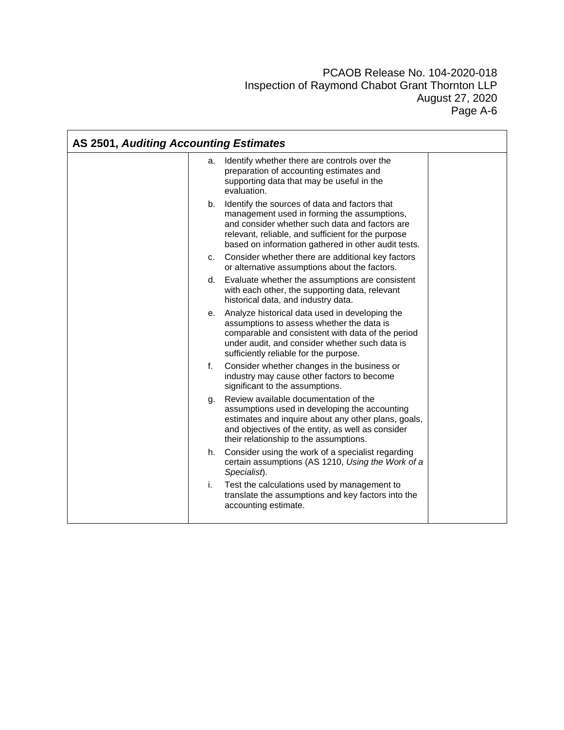| AS 2501, Auditing Accounting Estimates |                                                                                                                                                                                                                                                             |  |
|----------------------------------------|-------------------------------------------------------------------------------------------------------------------------------------------------------------------------------------------------------------------------------------------------------------|--|
|                                        | Identify whether there are controls over the<br>а.<br>preparation of accounting estimates and<br>supporting data that may be useful in the<br>evaluation.                                                                                                   |  |
| b.                                     | Identify the sources of data and factors that<br>management used in forming the assumptions,<br>and consider whether such data and factors are<br>relevant, reliable, and sufficient for the purpose<br>based on information gathered in other audit tests. |  |
|                                        | Consider whether there are additional key factors<br>C.<br>or alternative assumptions about the factors.                                                                                                                                                    |  |
|                                        | Evaluate whether the assumptions are consistent<br>d.<br>with each other, the supporting data, relevant<br>historical data, and industry data.                                                                                                              |  |
| е.                                     | Analyze historical data used in developing the<br>assumptions to assess whether the data is<br>comparable and consistent with data of the period<br>under audit, and consider whether such data is<br>sufficiently reliable for the purpose.                |  |
| f.                                     | Consider whether changes in the business or<br>industry may cause other factors to become<br>significant to the assumptions.                                                                                                                                |  |
| g.                                     | Review available documentation of the<br>assumptions used in developing the accounting<br>estimates and inquire about any other plans, goals,<br>and objectives of the entity, as well as consider<br>their relationship to the assumptions.                |  |
| h.                                     | Consider using the work of a specialist regarding<br>certain assumptions (AS 1210, Using the Work of a<br>Specialist).                                                                                                                                      |  |
| i.                                     | Test the calculations used by management to<br>translate the assumptions and key factors into the<br>accounting estimate.                                                                                                                                   |  |